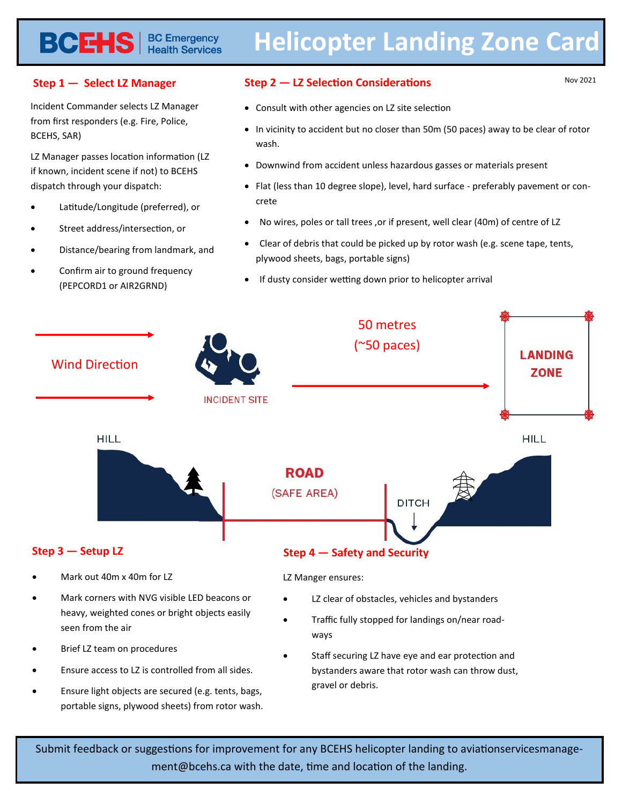## **Helicopter Landing Zone Card**

#### **Step 1 — Select LZ Manager**

Incident Commander selects LZ Manager from first responders (e.g. Fire, Police, BCEHS, SAR)

**BCEHS** | BC Emergency

LZ Manager passes location information (LZ if known, incident scene if not) to BCEHS dispatch through your dispatch:

- Latitude/Longitude (preferred), or
- Street address/intersection, or
- Distance/bearing from landmark, and
- Confirm air to ground frequency (PEPCORD1 or AIR2GRND)

#### **Step 2 — LZ Selection Considerations**

Nov 2021

- Consult with other agencies on LZ site selection
- In vicinity to accident but no closer than 50m (50 paces) away to be clear of rotor wash.
- Downwind from accident unless hazardous gasses or materials present
- Flat (less than 10 degree slope), level, hard surface preferably pavement or concrete
- No wires, poles or tall trees ,or if present, well clear (40m) of centre of LZ
- Clear of debris that could be picked up by rotor wash (e.g. scene tape, tents, plywood sheets, bags, portable signs)
- If dusty consider wetting down prior to helicopter arrival



Submit feedback or suggestions for improvement for any BCEHS helicopter landing to aviationservicesmanagement@bcehs.ca with the date, time and location of the landing.